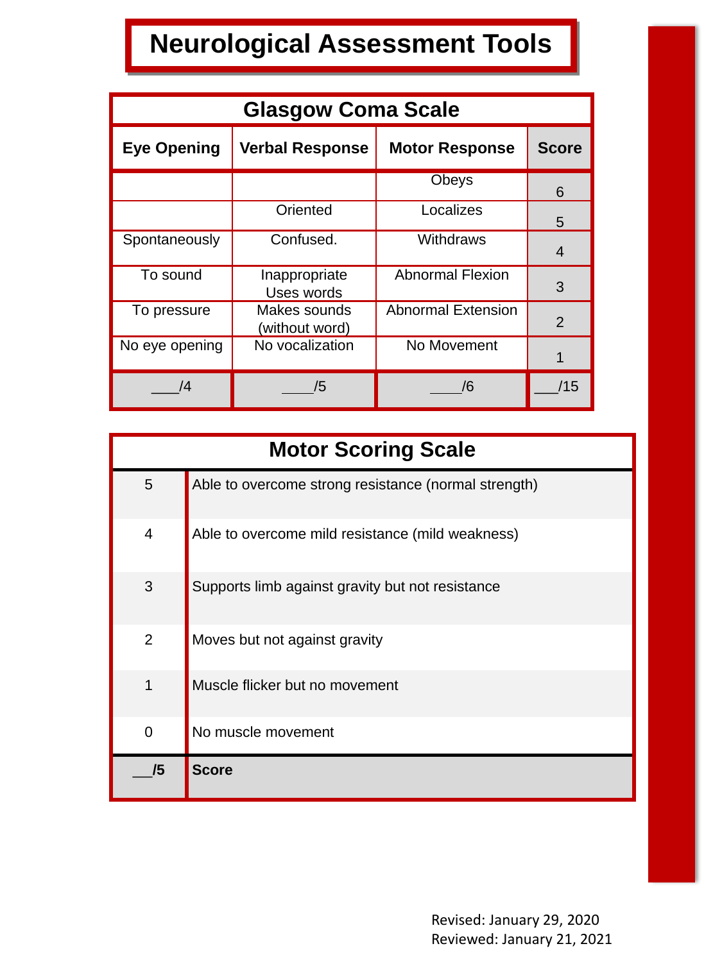# **Neurological Assessment Tools**

| <b>Glasgow Coma Scale</b> |                                |                           |                |
|---------------------------|--------------------------------|---------------------------|----------------|
| <b>Eye Opening</b>        | <b>Verbal Response</b>         | <b>Motor Response</b>     | <b>Score</b>   |
|                           |                                | Obeys                     | 6              |
|                           | Oriented                       | Localizes                 | 5              |
| Spontaneously             | Confused.                      | Withdraws                 | 4              |
| To sound                  | Inappropriate<br>Uses words    | <b>Abnormal Flexion</b>   | 3              |
| To pressure               | Makes sounds<br>(without word) | <b>Abnormal Extension</b> | $\overline{2}$ |
| No eye opening            | No vocalization                | No Movement               |                |
| Ι4                        | /5                             | /6                        | /15            |

| <b>Motor Scoring Scale</b> |                                                      |  |
|----------------------------|------------------------------------------------------|--|
| 5                          | Able to overcome strong resistance (normal strength) |  |
| $\overline{4}$             | Able to overcome mild resistance (mild weakness)     |  |
| 3                          | Supports limb against gravity but not resistance     |  |
| $\overline{2}$             | Moves but not against gravity                        |  |
| 1                          | Muscle flicker but no movement                       |  |
| $\overline{0}$             | No muscle movement                                   |  |
| /5                         | <b>Score</b>                                         |  |

Revised: January 29, 2020 Reviewed: January 21, 2021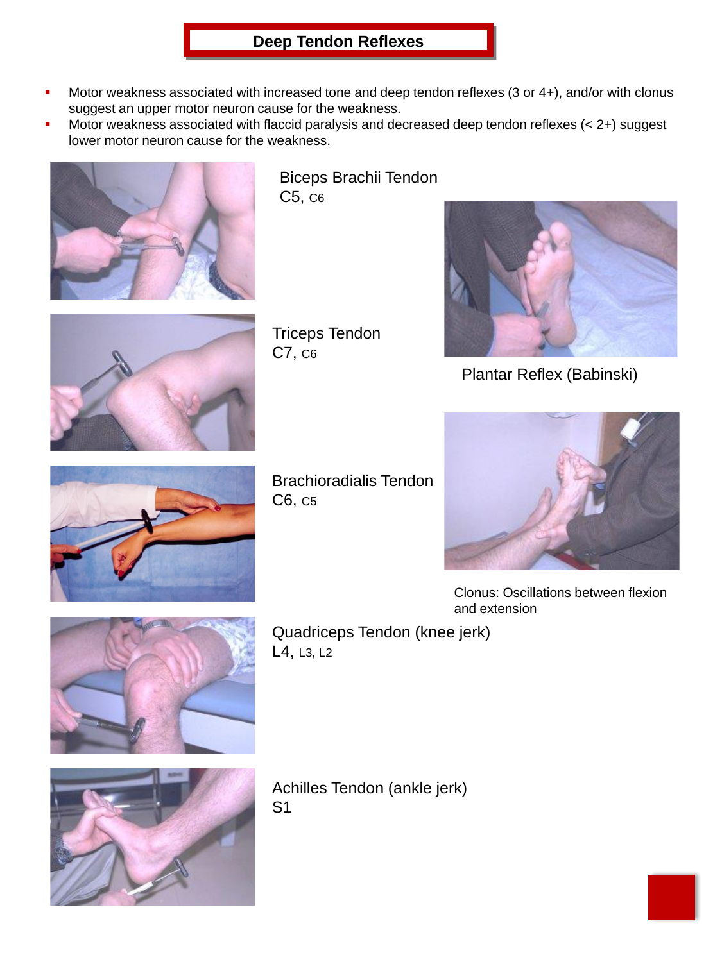#### **Deep Tendon Reflexes**

- Motor weakness associated with increased tone and deep tendon reflexes  $(3$  or  $4+)$ , and/or with clonus suggest an upper motor neuron cause for the weakness.
- Motor weakness associated with flaccid paralysis and decreased deep tendon reflexes  $(< 2+)$  suggest lower motor neuron cause for the weakness.



Biceps Brachii Tendon C5, C6



Triceps Tendon C7, C6



Plantar Reflex (Babinski)



Brachioradialis Tendon C6, C5



Clonus: Oscillations between flexion and extension



Quadriceps Tendon (knee jerk) L4, L3, L2



Achilles Tendon (ankle jerk) S1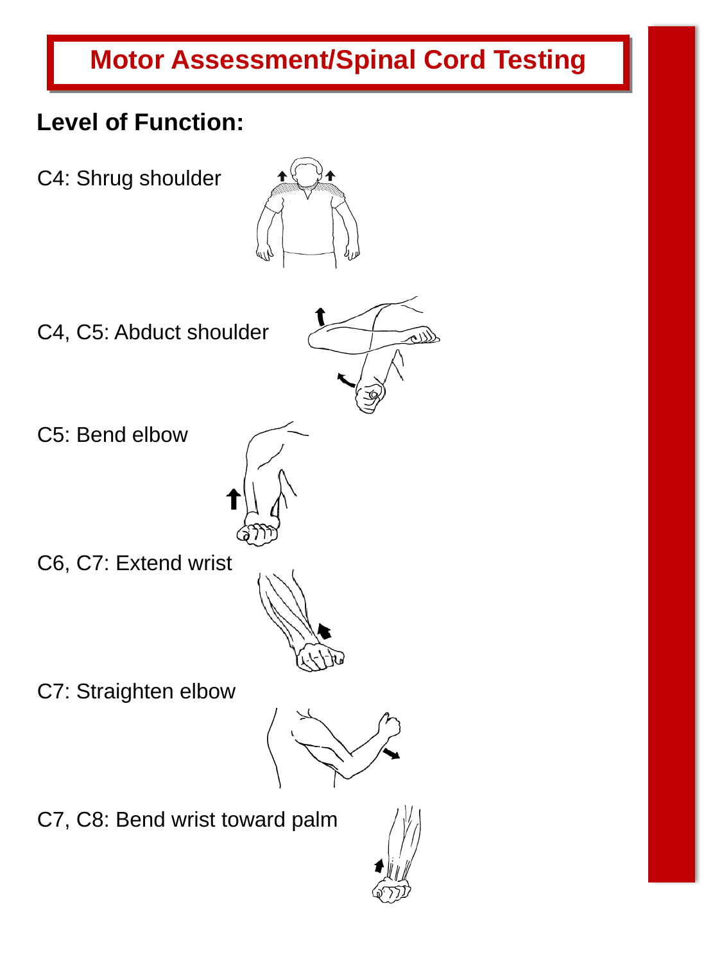# **Motor Assessment/Spinal Cord Testing**

### **Level of Function:**

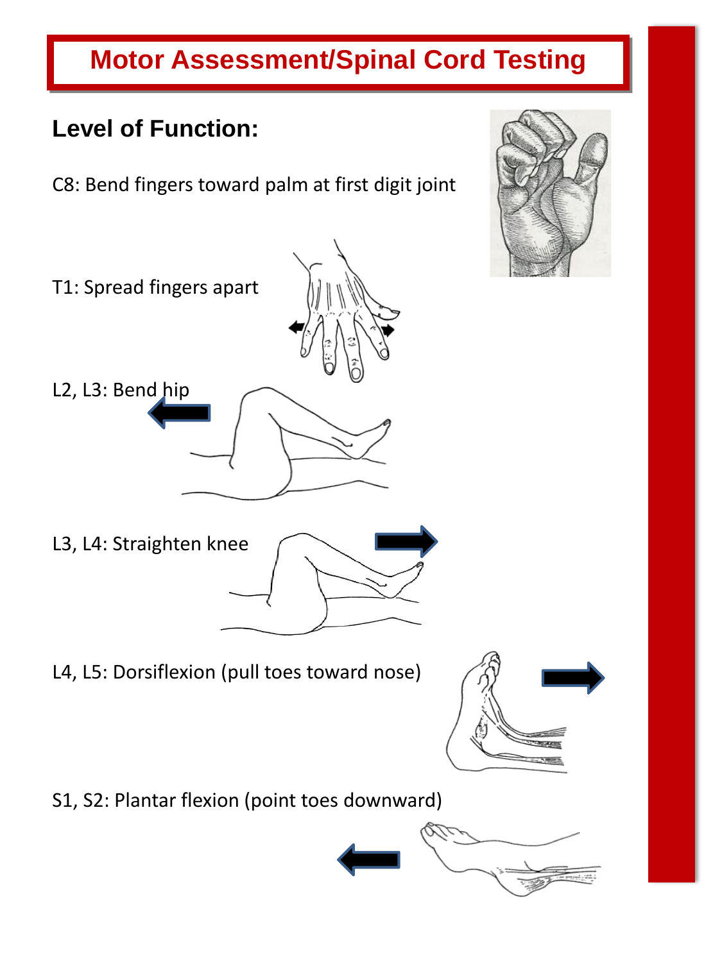# **Motor Assessment/Spinal Cord Testing**

### **Level of Function:**

C8: Bend fingers toward palm at first digit joint